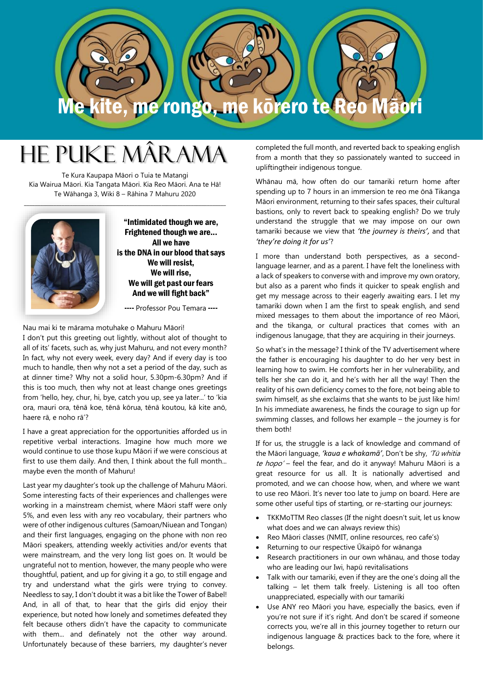

# He Puke Mârama

Te Kura Kaupapa Māori o Tuia te Matangi Kia Wairua Māori. Kia Tangata Māori. Kia Reo Māori. Ana te Hā! Te Wāhanga 3, Wiki 8 – Rāhina 7 Mahuru 2020



"Intimidated though we are, Frightened though we are... All we have is the DNA in our blood that says We will resist, We will rise, We will get past our fears And we will fight back"

---- Professor Pou Temara ----

Nau mai ki te mārama motuhake o Mahuru Māori! I don't put this greeting out lightly, without alot of thought to all of its' facets, such as, why just Mahuru, and not every month? In fact, why not every week, every day? And if every day is too much to handle, then why not a set a period of the day, such as at dinner time? Why not a solid hour, 5.30pm-6.30pm? And if this is too much, then why not at least change ones greetings from 'hello, hey, chur, hi, bye, catch you up, see ya later...' to 'kia ora, mauri ora, tēnā koe, tēnā kōrua, tēnā koutou, kā kite anō, haere rā, e noho rā'?

I have a great appreciation for the opportunities afforded us in repetitive verbal interactions. Imagine how much more we would continue to use those kupu Māori if we were conscious at first to use them daily. And then, I think about the full month... maybe even the month of Mahuru!

Last year my daughter's took up the challenge of Mahuru Māori. Some interesting facts of their experiences and challenges were working in a mainstream chemist, where Māori staff were only 5%, and even less with any reo vocabulary, their partners who were of other indigenous cultures (Samoan/Niuean and Tongan) and their first languages, engaging on the phone with non reo Māori speakers, attending weekly activities and/or events that were mainstream, and the very long list goes on. It would be ungrateful not to mention, however, the many people who were thoughtful, patient, and up for giving it a go, to still engage and try and understand what the girls were trying to convey. Needless to say, I don't doubt it was a bit like the Tower of Babel! And, in all of that, to hear that the girls did enjoy their experience, but noted how lonely and sometimes defeated they felt because others didn't have the capacity to communicate with them... and definately not the other way around. Unfortunately because of these barriers, my daughter's never

completed the full month, and reverted back to speaking english from a month that they so passionately wanted to succeed in upliftingtheir indigenous tongue.

Whānau mā, how often do our tamariki return home after spending up to 7 hours in an immersion te reo me ōnā Tikanga Māori environment, returning to their safes spaces, their cultural bastions, only to revert back to speaking english? Do we truly understand the struggle that we may impose on our own tamariki because we view that *'the journey is theirs',* and that *'they're doing it for us'*?

I more than understand both perspectives, as a secondlanguage learner, and as a parent. I have felt the loneliness with a lack of speakers to converse with and improve my own oratory, but also as a parent who finds it quicker to speak english and get my message across to their eagerly awaiting ears. I let my tamariki down when I am the first to speak english, and send mixed messages to them about the importance of reo Māori, and the tikanga, or cultural practices that comes with an indigenous lanugage, that they are acquiring in their journeys.

So what's in the message? I think of the TV advertisement where the father is encouraging his daughter to do her very best in learning how to swim. He comforts her in her vulnerability, and tells her she can do it, and he's with her all the way! Then the reality of his own deficiency comes to the fore, not being able to swim himself, as she exclaims that she wants to be just like him! In his immediate awareness, he finds the courage to sign up for swimming classes, and follows her example – the journey is for them both!

If for us, the struggle is a lack of knowledge and command of the Māori language, *'kaua e whakamā'*, Don't be shy, 'Tū whitia te hopo' - feel the fear, and do it anyway! Mahuru Māori is a great resource for us all. It is nationally advertised and promoted, and we can choose how, when, and where we want to use reo Māori. It's never too late to jump on board. Here are some other useful tips of starting, or re-starting our journeys:

- TKKMoTTM Reo classes (If the night doesn't suit, let us know what does and we can always review this)
- Reo Māori classes (NMIT, online resources, reo cafe's)
- Returning to our respective Ūkaipō for wānanga
- Research practitioners in our own whānau, and those today who are leading our Iwi, hapū revitalisations
- Talk with our tamariki, even if they are the one's doing all the talking – let them talk freely. Listening is all too often unappreciated, especially with our tamariki
- Use ANY reo Māori you have, especially the basics, even if you're not sure if it's right. And don't be scared if someone corrects you, we're all in this journey together to return our indigenous language & practices back to the fore, where it belongs.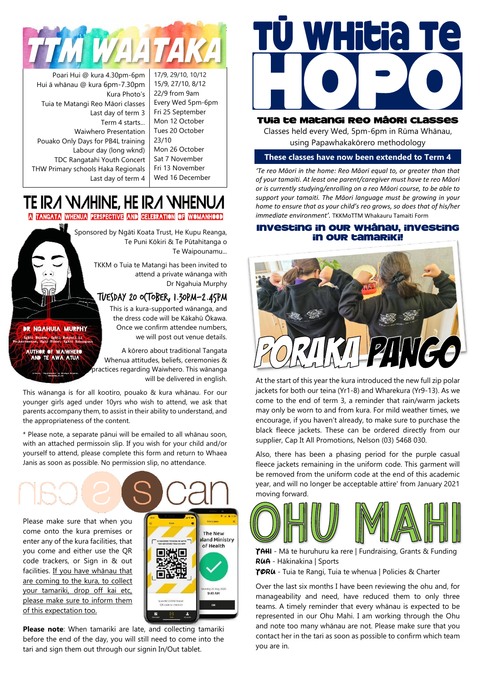

Poari Hui @ kura 4.30pm-6pm Hui ā whānau @ kura 6pm-7.30pm Kura Photo's Tuia te Matangi Reo Māori classes Last day of term 3 Term 4 starts... Waiwhero Presentation Pouako Only Days for PB4L training Labour day (long wknd) TDC Rangatahi Youth Concert THW Primary schools Haka Regionals Last day of term 4

17/9, 29/10, 10/12 15/9, 27/10, 8/12 22/9 from 9am Every Wed 5pm-6pm Fri 25 September Mon 12 October Tues 20 October 23/10 Mon 26 October

Sat 7 November Fri 13 November Wed 16 December

## TE IRA WAHINE, HE IRA WHENU

A TANGATA WHENUA PERSPECTIVE AND CELEBRATION OF WOMANHOOD

Sponsored by Ngāti Koata Trust, He Kupu Reanga, Te Puni Kōkiri & Te Pūtahitanga o Te Waipounamu...

> TKKM o Tuia te Matangi has been invited to attend a private wānanga with Dr Ngahuia Murphy

#### TUESDAY 20 OCTOBER, 1.30pm-2.45pm

This is a kura-supported wānanga, and the dress code will be Kākahū Ōkawa. Once we confirm attendee numbers, we will post out venue details.

A kōrero about traditional Tangata Whenua attitudes, beliefs, ceremonies & practices regarding Waiwhero. This wānanga will be delivered in english.

This wānanga is for all kootiro, pouako & kura whānau. For our younger girls aged under 10yrs who wish to attend, we ask that parents accompany them, to assist in their ability to understand, and the appropriateness of the content.

\* Please note, a separate pānui will be emailed to all whānau soon, with an attached permissoin slip. If you wish for your child and/or yourself to attend, please complete this form and return to Whaea Janis as soon as possible. No permission slip, no attendance.

Please make sure that when you come onto the kura premises or enter any of the kura facilities, that you come and either use the QR code trackers, or Sign in & out facilities. If you have whānau that are coming to the kura, to collect your tamariki, drop off kai etc, please make sure to inform them of this expectation too.

**BR NGAHUIA MURPHY** nawa, Mgati Ruspani ki<br>Mgai Tuhoe, Mgati Kahu **AUTHOR OF WAIWHERS** 



**Please note**: When tamariki are late, and collecting tamariki before the end of the day, you will still need to come into the tari and sign them out through our signin In/Out tablet.



#### Tuia te Matangi Reo Māori Classes

Classes held every Wed, 5pm-6pm in Rūma Whānau, using Papawhakakōrero methodology

#### **These classes have now been extended to Term 4**

*'Te reo Māori in the home: Reo Māori equal to, or greater than that of your tamaiti. At least one parent/caregiver must have te reo Māori or is currently studying/enrolling on a reo Māori course, to be able to support your tamaiti. The Māori language must be growing in your home to ensure that as your child's reo grows, so does that of his/her immediate environment'.* TKKMoTTM Whakauru Tamaiti Form

#### Investing in our whānau, investing in our tamariki!



At the start of this year the kura introduced the new full zip polar jackets for both our teina (Yr1-8) and Wharekura (Yr9-13). As we come to the end of term 3, a reminder that rain/warm jackets may only be worn to and from kura. For mild weather times, we encourage, if you haven't already, to make sure to purchase the black fleece jackets. These can be ordered directly from our supplier, Cap It All Promotions, Nelson (03) 5468 030.

Also, there has been a phasing period for the purple casual fleece jackets remaining in the uniform code. This garment will be removed from the uniform code at the end of this academic year, and will no longer be acceptable attire' from January 2021 moving forward.



**TAHI** - Mā te huruhuru ka rere | Fundraising, Grants & Funding **RUA** - Hākinakina | Sports

**TORU** - Tuia te Rangi, Tuia te whenua | Policies & Charter

Over the last six months I have been reviewing the ohu and, for manageability and need, have reduced them to only three teams. A timely reminder that every whānau is expected to be represented in our Ohu Mahi. I am working through the Ohu and note too many whānau are not. Please make sure that you contact her in the tari as soon as possible to confirm which team you are in.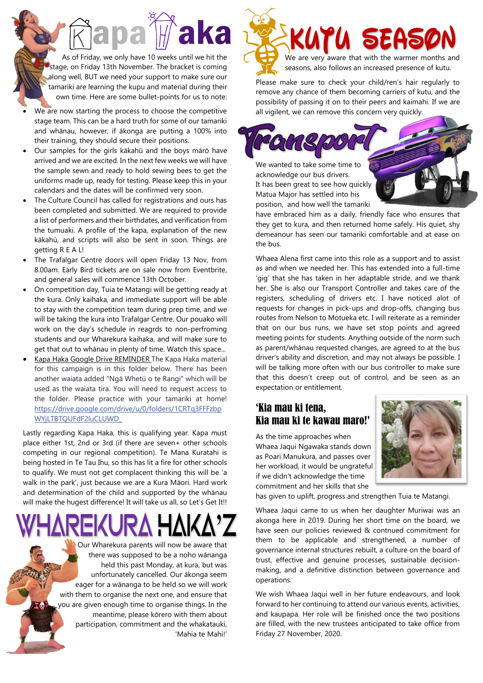As of Friday, we only have 10 weeks until we hit the stage, on Friday 13th November. The bracket is coming along well, BUT we need your support to make sure our tamariki are learning the kupu and material during their own time. Here are some bullet-points for us to note:

- We are now starting the process to choose the competitive stage team. This can be a hard truth for some of our tamariki and whānau, however, if ākonga are putting a 100% into their training, they should secure their positions.
- Our samples for the girls kākahū and the boys mārō have arrived and we are excited. In the next few weeks we will have the sample sewn and ready to hold sewing bees to get the uniforms made up, ready for testing. Please keep this in your calendars and the dates will be confirmed very soon.
- The Culture Council has called for registrations and ours has been completed and submitted. We are required to provide a list of performers and their birthdates, and verification from the tumuaki. A profile of the kapa, explanation of the new kākahū, and scripts will also be sent in soon. Things are getting R E A L!
- The Trafalgar Centre doors will open Friday 13 Nov, from 8.00am. Early Bird tickets are on sale now from Eventbrite, and general sales will commence 13th October.
- On competition day, Tuia te Matangi will be getting ready at the kura. Only kaihaka, and immediate support will be able to stay with the competition team during prep time, and we will be taking the kura into Trafalgar Centre. Our pouako will work on the day's schedule in reagrds to non-perfroming students and our Wharekura kaihaka, and will make sure to get that out to whānau in plenty of time. Watch this space...
- Kapa Haka Google Drive REMINDER The Kapa Haka material for this campaign is in this folder below. There has been another waiata added "Ngā Whetū o te Rangi" which will be used as the waiata tira. You will need to request access to the folder. Please practice with your tamariki at home! [https://drive.google.com/drive/u/0/folders/1CRTq3FFFzbp](https://drive.google.com/drive/u/0/folders/1CRTq3FFFzbpWYjLTBTQUFdF2luCLUWD_?fbclid=IwAR123-q_x94rZeXV84_4WvPwR3vmumz2_6NxTvl_Nx_B6E-XBjGuDQl9Gzw) [WYjLTBTQUFdF2luCLUWD\\_](https://drive.google.com/drive/u/0/folders/1CRTq3FFFzbpWYjLTBTQUFdF2luCLUWD_?fbclid=IwAR123-q_x94rZeXV84_4WvPwR3vmumz2_6NxTvl_Nx_B6E-XBjGuDQl9Gzw)

Lastly regarding Kapa Haka, this is qualifying year. Kapa must place either 1st, 2nd or 3rd (if there are seven+ other schools competing in our regional competition). Te Mana Kuratahi is being hosted in Te Tau Ihu, so this has lit a fire for other schools to qualify. We must not get complacent thinking this will be 'a walk in the park', just because we are a Kura Māori. Hard work and determination of the child and supported by the whānau will make the hugest difference! It will take us all, so Let's Get It!!

 $\mathbf{m}$ 

Our Wharekura parents will now be aware that there was supposed to be a noho wānanga held this past Monday, at kura, but was unfortunately cancelled. Our ākonga seem eager for a wānanga to be held so we will work with them to organise the next one, and ensure that you are given enough time to organise things. In the meantime, please kōrero with them about participation, commitment and the whakatauki, 'Mahia te Mahi!'



Please make sure to check your child/ren's hair regularly to remove any chance of them becoming carriers of kutu, and the possibility of passing it on to their peers and kaimahi. If we are all vigilent, we can remove this concern very quickly.



have embraced him as a daily, friendly face who ensures that they get to kura, and then returned home safely. His quiet, shy demeanour has seen our tamariki comfortable and at ease on the bus.

Whaea Alena first came into this role as a support and to assist as and when we needed her. This has extended into a full-time 'gig' that she has taken in her adaptable stride, and we thank her. She is also our Transport Controller and takes care of the registers, scheduling of drivers etc. I have noticed alot of requests for changes in pick-ups and drop-offs, changing bus routes from Nelson to Motueka etc. I will reiterate as a reminder that on our bus runs, we have set stop points and agreed meeting points for students. Anything outside of the norm such as parent/whānau requested changes, are agreed to at the bus driver's ability and discretion, and may not always be possible. I will be talking more often with our bus controller to make sure that this doesn't creep out of control, and be seen as an expectation or entitlement.

#### 'Kia mau ki tena, Kia mau ki te kawau maro!'

As the time approaches when Whaea Jaqui Ngawaka stands down as Poari Manukura, and passes over her workload, it would be ungrateful if we didn't acknowledge the time commitment and her skills that she



has given to uplift, progress and strengthen Tuia te Matangi.

Whaea Jaqui came to us when her daughter Muriwai was an akonga here in 2019. During her short time on the board, we have seen our policies reviewed & contnued commitment for them to be applicable and strengthened, a number of governance internal structures rebuilt, a culture on the board of trust, effective and genuine processes, sustainable decisionmaking, and a definitive distinction between governance and operations.

We wish Whaea Jaqui well in her future endeavours, and look forward to her continuing to attend our various events, activities, and kaupapa. Her role will be finished once the two positions are filled, with the new trustees anticipated to take office from Friday 27 November, 2020.